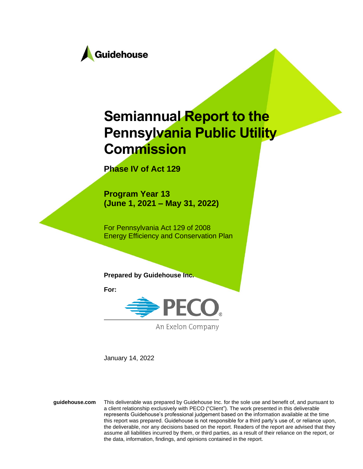

# **Semiannual Report to the Pennsylvania Public Utility Commission**

**Phase IV of Act 129**

**Program Year 13 (June 1, 2021 – May 31, 2022)**

For Pennsylvania Act 129 of 2008 Energy Efficiency and Conservation Plan

**Prepared by Guidehouse Inc.**

**For:**



An Exelon Company

January 14, 2022

**guidehouse.com** This deliverable was prepared by Guidehouse Inc. for the sole use and benefit of, and pursuant to a client relationship exclusively with PECO ("Client"). The work presented in this deliverable represents Guidehouse's professional judgement based on the information available at the time this report was prepared. Guidehouse is not responsible for a third party's use of, or reliance upon, the deliverable, nor any decisions based on the report. Readers of the report are advised that they assume all liabilities incurred by them, or third parties, as a result of their reliance on the report, or the data, information, findings, and opinions contained in the report.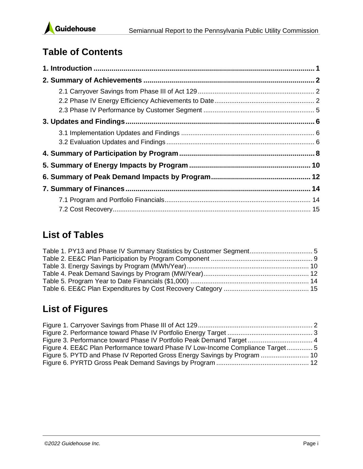

# **Table of Contents**

## **List of Tables**

| Table 1. PY13 and Phase IV Summary Statistics by Customer Segment 5 |  |
|---------------------------------------------------------------------|--|
|                                                                     |  |
|                                                                     |  |
|                                                                     |  |
|                                                                     |  |
|                                                                     |  |

# **List of Figures**

| Figure 3. Performance toward Phase IV Portfolio Peak Demand Target  4          |  |
|--------------------------------------------------------------------------------|--|
| Figure 4. EE&C Plan Performance toward Phase IV Low-Income Compliance Target 5 |  |
| Figure 5. PYTD and Phase IV Reported Gross Energy Savings by Program  10       |  |
|                                                                                |  |
|                                                                                |  |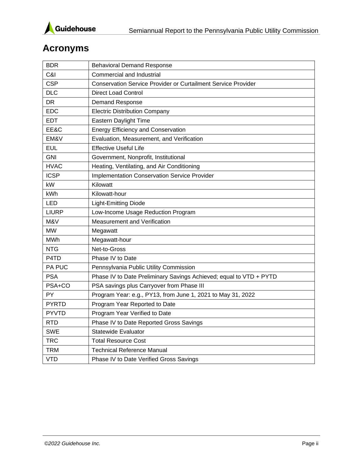

# **Acronyms**

| <b>BDR</b>   | <b>Behavioral Demand Response</b>                                    |
|--------------|----------------------------------------------------------------------|
| C&I          | Commercial and Industrial                                            |
| <b>CSP</b>   | <b>Conservation Service Provider or Curtailment Service Provider</b> |
| <b>DLC</b>   | <b>Direct Load Control</b>                                           |
| DR           | Demand Response                                                      |
| <b>EDC</b>   | <b>Electric Distribution Company</b>                                 |
| <b>EDT</b>   | Eastern Daylight Time                                                |
| EE&C         | <b>Energy Efficiency and Conservation</b>                            |
| EM&V         | Evaluation, Measurement, and Verification                            |
| <b>EUL</b>   | <b>Effective Useful Life</b>                                         |
| <b>GNI</b>   | Government, Nonprofit, Institutional                                 |
| <b>HVAC</b>  | Heating, Ventilating, and Air Conditioning                           |
| <b>ICSP</b>  | <b>Implementation Conservation Service Provider</b>                  |
| kW           | Kilowatt                                                             |
| kWh          | Kilowatt-hour                                                        |
| <b>LED</b>   | <b>Light-Emitting Diode</b>                                          |
| <b>LIURP</b> | Low-Income Usage Reduction Program                                   |
| M&V          | Measurement and Verification                                         |
| <b>MW</b>    | Megawatt                                                             |
| <b>MWh</b>   | Megawatt-hour                                                        |
| <b>NTG</b>   | Net-to-Gross                                                         |
| P4TD         | Phase IV to Date                                                     |
| PA PUC       | Pennsylvania Public Utility Commission                               |
| <b>PSA</b>   | Phase IV to Date Preliminary Savings Achieved; equal to VTD + PYTD   |
| PSA+CO       | PSA savings plus Carryover from Phase III                            |
| PY           | Program Year: e.g., PY13, from June 1, 2021 to May 31, 2022          |
| <b>PYRTD</b> | Program Year Reported to Date                                        |
| <b>PYVTD</b> | Program Year Verified to Date                                        |
| <b>RTD</b>   | Phase IV to Date Reported Gross Savings                              |
| <b>SWE</b>   | <b>Statewide Evaluator</b>                                           |
| <b>TRC</b>   | <b>Total Resource Cost</b>                                           |
| <b>TRM</b>   | <b>Technical Reference Manual</b>                                    |
| <b>VTD</b>   | Phase IV to Date Verified Gross Savings                              |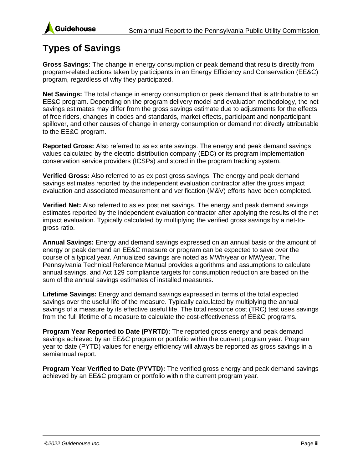

### **Types of Savings**

**Gross Savings:** The change in energy consumption or peak demand that results directly from program-related actions taken by participants in an Energy Efficiency and Conservation (EE&C) program, regardless of why they participated.

**Net Savings:** The total change in energy consumption or peak demand that is attributable to an EE&C program. Depending on the program delivery model and evaluation methodology, the net savings estimates may differ from the gross savings estimate due to adjustments for the effects of free riders, changes in codes and standards, market effects, participant and nonparticipant spillover, and other causes of change in energy consumption or demand not directly attributable to the EE&C program.

**Reported Gross:** Also referred to as ex ante savings. The energy and peak demand savings values calculated by the electric distribution company (EDC) or its program implementation conservation service providers (ICSPs) and stored in the program tracking system.

**Verified Gross:** Also referred to as ex post gross savings. The energy and peak demand savings estimates reported by the independent evaluation contractor after the gross impact evaluation and associated measurement and verification (M&V) efforts have been completed.

**Verified Net:** Also referred to as ex post net savings. The energy and peak demand savings estimates reported by the independent evaluation contractor after applying the results of the net impact evaluation. Typically calculated by multiplying the verified gross savings by a net-togross ratio.

**Annual Savings:** Energy and demand savings expressed on an annual basis or the amount of energy or peak demand an EE&C measure or program can be expected to save over the course of a typical year. Annualized savings are noted as MWh/year or MW/year. The Pennsylvania Technical Reference Manual provides algorithms and assumptions to calculate annual savings, and Act 129 compliance targets for consumption reduction are based on the sum of the annual savings estimates of installed measures.

**Lifetime Savings:** Energy and demand savings expressed in terms of the total expected savings over the useful life of the measure. Typically calculated by multiplying the annual savings of a measure by its effective useful life. The total resource cost (TRC) test uses savings from the full lifetime of a measure to calculate the cost-effectiveness of EE&C programs.

**Program Year Reported to Date (PYRTD):** The reported gross energy and peak demand savings achieved by an EE&C program or portfolio within the current program year. Program year to date (PYTD) values for energy efficiency will always be reported as gross savings in a semiannual report.

**Program Year Verified to Date (PYVTD):** The verified gross energy and peak demand savings achieved by an EE&C program or portfolio within the current program year.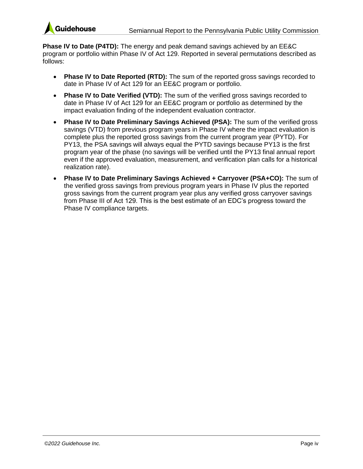

**Phase IV to Date (P4TD):** The energy and peak demand savings achieved by an EE&C program or portfolio within Phase IV of Act 129. Reported in several permutations described as follows:

- **Phase IV to Date Reported (RTD):** The sum of the reported gross savings recorded to date in Phase IV of Act 129 for an EE&C program or portfolio.
- **Phase IV to Date Verified (VTD):** The sum of the verified gross savings recorded to date in Phase IV of Act 129 for an EE&C program or portfolio as determined by the impact evaluation finding of the independent evaluation contractor.
- **Phase IV to Date Preliminary Savings Achieved (PSA):** The sum of the verified gross savings (VTD) from previous program years in Phase IV where the impact evaluation is complete plus the reported gross savings from the current program year (PYTD). For PY13, the PSA savings will always equal the PYTD savings because PY13 is the first program year of the phase (no savings will be verified until the PY13 final annual report even if the approved evaluation, measurement, and verification plan calls for a historical realization rate).
- **Phase IV to Date Preliminary Savings Achieved + Carryover (PSA+CO):** The sum of the verified gross savings from previous program years in Phase IV plus the reported gross savings from the current program year plus any verified gross carryover savings from Phase III of Act 129. This is the best estimate of an EDC's progress toward the Phase IV compliance targets.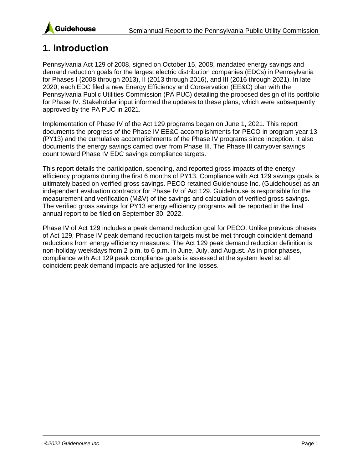

### <span id="page-5-0"></span>**1. Introduction**

Pennsylvania Act 129 of 2008, signed on October 15, 2008, mandated energy savings and demand reduction goals for the largest electric distribution companies (EDCs) in Pennsylvania for Phases I (2008 through 2013), II (2013 through 2016), and III (2016 through 2021). In late 2020, each EDC filed a new Energy Efficiency and Conservation (EE&C) plan with the Pennsylvania Public Utilities Commission (PA PUC) detailing the proposed design of its portfolio for Phase IV. Stakeholder input informed the updates to these plans, which were subsequently approved by the PA PUC in 2021.

Implementation of Phase IV of the Act 129 programs began on June 1, 2021. This report documents the progress of the Phase IV EE&C accomplishments for PECO in program year 13 (PY13) and the cumulative accomplishments of the Phase IV programs since inception. It also documents the energy savings carried over from Phase III. The Phase III carryover savings count toward Phase IV EDC savings compliance targets.

This report details the participation, spending, and reported gross impacts of the energy efficiency programs during the first 6 months of PY13. Compliance with Act 129 savings goals is ultimately based on verified gross savings. PECO retained Guidehouse Inc. (Guidehouse) as an independent evaluation contractor for Phase IV of Act 129. Guidehouse is responsible for the measurement and verification (M&V) of the savings and calculation of verified gross savings. The verified gross savings for PY13 energy efficiency programs will be reported in the final annual report to be filed on September 30, 2022.

Phase IV of Act 129 includes a peak demand reduction goal for PECO. Unlike previous phases of Act 129, Phase IV peak demand reduction targets must be met through coincident demand reductions from energy efficiency measures. The Act 129 peak demand reduction definition is non-holiday weekdays from 2 p.m. to 6 p.m. in June, July, and August. As in prior phases, compliance with Act 129 peak compliance goals is assessed at the system level so all coincident peak demand impacts are adjusted for line losses.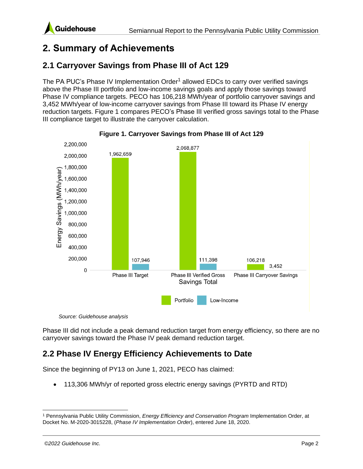## <span id="page-6-0"></span>**2. Summary of Achievements**

### <span id="page-6-1"></span>**2.1 Carryover Savings from Phase III of Act 129**

The PA PUC's Phase IV Implementation Order<sup>1</sup> allowed EDCs to carry over verified savings above the Phase III portfolio and low-income savings goals and apply those savings toward Phase IV compliance targets. PECO has 106,218 MWh/year of portfolio carryover savings and 3,452 MWh/year of low-income carryover savings from Phase III toward its Phase IV energy reduction targets. [Figure 1](#page-6-3) compares PECO's Phase III verified gross savings total to the Phase III compliance target to illustrate the carryover calculation.

<span id="page-6-3"></span>



*Source: Guidehouse analysis*

Phase III did not include a peak demand reduction target from energy efficiency, so there are no carryover savings toward the Phase IV peak demand reduction target.

### <span id="page-6-2"></span>**2.2 Phase IV Energy Efficiency Achievements to Date**

Since the beginning of PY13 on June 1, 2021, PECO has claimed:

• 113,306 MWh/yr of reported gross electric energy savings (PYRTD and RTD)

<sup>1</sup> Pennsylvania Public Utility Commission, *Energy Efficiency and Conservation Program* Implementation Order, at Docket No. M-2020-3015228, (*Phase IV Implementation Order*), entered June 18, 2020.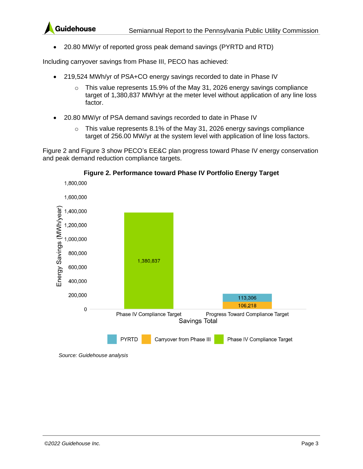

• 20.80 MW/yr of reported gross peak demand savings (PYRTD and RTD)

Including carryover savings from Phase III, PECO has achieved:

- 219,524 MWh/yr of PSA+CO energy savings recorded to date in Phase IV
	- o This value represents 15.9% of the May 31, 2026 energy savings compliance target of 1,380,837 MWh/yr at the meter level without application of any line loss factor.
- 20.80 MW/yr of PSA demand savings recorded to date in Phase IV
	- $\circ$  This value represents 8.1% of the May 31, 2026 energy savings compliance target of 256.00 MW/yr at the system level with application of line loss factors.

[Figure 2](#page-7-0) and [Figure 3](#page-8-0) show PECO's EE&C plan progress toward Phase IV energy conservation and peak demand reduction compliance targets.

<span id="page-7-0"></span>

#### **Figure 2. Performance toward Phase IV Portfolio Energy Target**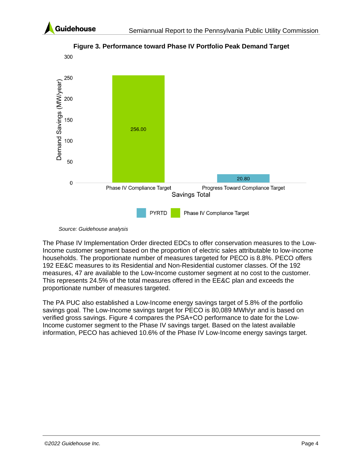

<span id="page-8-0"></span>

**Figure 3. Performance toward Phase IV Portfolio Peak Demand Target**

*Source: Guidehouse analysis*

The Phase IV Implementation Order directed EDCs to offer conservation measures to the Low-Income customer segment based on the proportion of electric sales attributable to low-income households. The proportionate number of measures targeted for PECO is 8.8%. PECO offers 192 EE&C measures to its Residential and Non-Residential customer classes. Of the 192 measures, 47 are available to the Low-Income customer segment at no cost to the customer. This represents 24.5% of the total measures offered in the EE&C plan and exceeds the proportionate number of measures targeted.

The PA PUC also established a Low-Income energy savings target of 5.8% of the portfolio savings goal. The Low-Income savings target for PECO is 80,089 MWh/yr and is based on verified gross savings. [Figure 4](#page-9-2) compares the PSA+CO performance to date for the Low-Income customer segment to the Phase IV savings target. Based on the latest available information, PECO has achieved 10.6% of the Phase IV Low-Income energy savings target.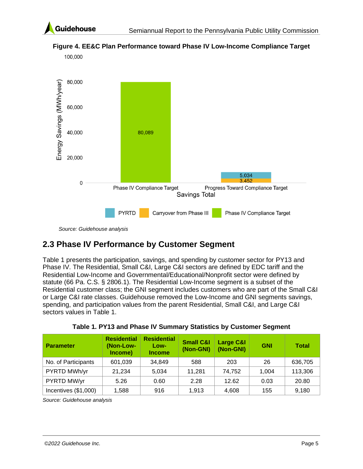

100.000



<span id="page-9-2"></span>**Figure 4. EE&C Plan Performance toward Phase IV Low-Income Compliance Target**

*Source: Guidehouse analysis*

### <span id="page-9-0"></span>**2.3 Phase IV Performance by Customer Segment**

[Table 1](#page-9-1) presents the participation, savings, and spending by customer sector for PY13 and Phase IV. The Residential, Small C&I, Large C&I sectors are defined by EDC tariff and the Residential Low-Income and Governmental/Educational/Nonprofit sector were defined by statute (66 Pa. C.S. § 2806.1). The Residential Low-Income segment is a subset of the Residential customer class; the GNI segment includes customers who are part of the Small C&I or Large C&I rate classes. Guidehouse removed the Low-Income and GNI segments savings, spending, and participation values from the parent Residential, Small C&I, and Large C&I sectors values in [Table 1.](#page-9-1)

<span id="page-9-1"></span>

| <b>Parameter</b>     | <b>Residential</b><br>(Non-Low-<br>Income) | <b>Residential</b><br>Low-<br><b>Income</b> | <b>Small C&amp;I</b><br>(Non-GNI) | Large C&I<br>(Non-GNI) | <b>GNI</b> | <b>Total</b> |
|----------------------|--------------------------------------------|---------------------------------------------|-----------------------------------|------------------------|------------|--------------|
| No. of Participants  | 601,039                                    | 34.849                                      | 588                               | 203                    | 26         | 636,705      |
| PYRTD MWh/yr         | 21,234                                     | 5,034                                       | 11,281                            | 74,752                 | 1,004      | 113,306      |
| PYRTD MW/yr          | 5.26                                       | 0.60                                        | 2.28                              | 12.62                  | 0.03       | 20.80        |
| Incentives (\$1,000) | 1,588                                      | 916                                         | 1.913                             | 4,608                  | 155        | 9,180        |

**Table 1. PY13 and Phase IV Summary Statistics by Customer Segment**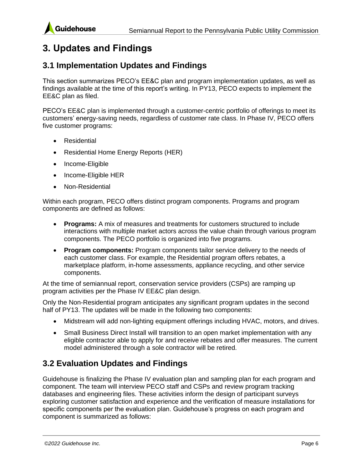

### <span id="page-10-0"></span>**3. Updates and Findings**

#### <span id="page-10-1"></span>**3.1 Implementation Updates and Findings**

This section summarizes PECO's EE&C plan and program implementation updates, as well as findings available at the time of this report's writing. In PY13, PECO expects to implement the EE&C plan as filed.

PECO's EE&C plan is implemented through a customer-centric portfolio of offerings to meet its customers' energy-saving needs, regardless of customer rate class. In Phase IV, PECO offers five customer programs:

- Residential
- Residential Home Energy Reports (HER)
- Income-Eligible
- Income-Eligible HER
- Non-Residential

Within each program, PECO offers distinct program components. Programs and program components are defined as follows:

- **Programs:** A mix of measures and treatments for customers structured to include interactions with multiple market actors across the value chain through various program components. The PECO portfolio is organized into five programs.
- **Program components:** Program components tailor service delivery to the needs of each customer class. For example, the Residential program offers rebates, a marketplace platform, in-home assessments, appliance recycling, and other service components.

At the time of semiannual report, conservation service providers (CSPs) are ramping up program activities per the Phase IV EE&C plan design.

Only the Non-Residential program anticipates any significant program updates in the second half of PY13. The updates will be made in the following two components:

- Midstream will add non-lighting equipment offerings including HVAC, motors, and drives.
- Small Business Direct Install will transition to an open market implementation with any eligible contractor able to apply for and receive rebates and offer measures. The current model administered through a sole contractor will be retired.

### <span id="page-10-2"></span>**3.2 Evaluation Updates and Findings**

Guidehouse is finalizing the Phase IV evaluation plan and sampling plan for each program and component. The team will interview PECO staff and CSPs and review program tracking databases and engineering files. These activities inform the design of participant surveys exploring customer satisfaction and experience and the verification of measure installations for specific components per the evaluation plan. Guidehouse's progress on each program and component is summarized as follows: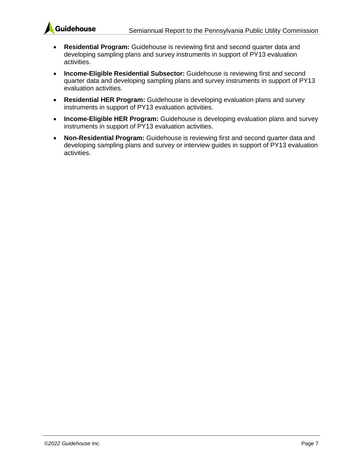

- **Residential Program:** Guidehouse is reviewing first and second quarter data and developing sampling plans and survey instruments in support of PY13 evaluation activities.
- **Income-Eligible Residential Subsector:** Guidehouse is reviewing first and second quarter data and developing sampling plans and survey instruments in support of PY13 evaluation activities.
- **Residential HER Program:** Guidehouse is developing evaluation plans and survey instruments in support of PY13 evaluation activities.
- **Income-Eligible HER Program:** Guidehouse is developing evaluation plans and survey instruments in support of PY13 evaluation activities.
- **Non-Residential Program:** Guidehouse is reviewing first and second quarter data and developing sampling plans and survey or interview guides in support of PY13 evaluation activities.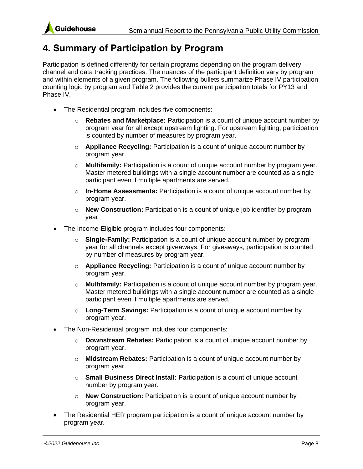

## <span id="page-12-0"></span>**4. Summary of Participation by Program**

Participation is defined differently for certain programs depending on the program delivery channel and data tracking practices. The nuances of the participant definition vary by program and within elements of a given program. The following bullets summarize Phase IV participation counting logic by program and [Table 2](#page-13-0) provides the current participation totals for PY13 and Phase IV.

- The Residential program includes five components:
	- o **Rebates and Marketplace:** Participation is a count of unique account number by program year for all except upstream lighting. For upstream lighting, participation is counted by number of measures by program year.
	- o **Appliance Recycling:** Participation is a count of unique account number by program year.
	- o **Multifamily:** Participation is a count of unique account number by program year. Master metered buildings with a single account number are counted as a single participant even if multiple apartments are served.
	- o **In-Home Assessments:** Participation is a count of unique account number by program year.
	- o **New Construction:** Participation is a count of unique job identifier by program year.
- The Income-Eligible program includes four components:
	- o **Single-Family:** Participation is a count of unique account number by program year for all channels except giveaways. For giveaways, participation is counted by number of measures by program year.
	- o **Appliance Recycling:** Participation is a count of unique account number by program year.
	- o **Multifamily:** Participation is a count of unique account number by program year. Master metered buildings with a single account number are counted as a single participant even if multiple apartments are served.
	- o **Long-Term Savings:** Participation is a count of unique account number by program year.
- The Non-Residential program includes four components:
	- o **Downstream Rebates:** Participation is a count of unique account number by program year.
	- o **Midstream Rebates:** Participation is a count of unique account number by program year.
	- o **Small Business Direct Install:** Participation is a count of unique account number by program year.
	- o **New Construction:** Participation is a count of unique account number by program year.
- The Residential HER program participation is a count of unique account number by program year.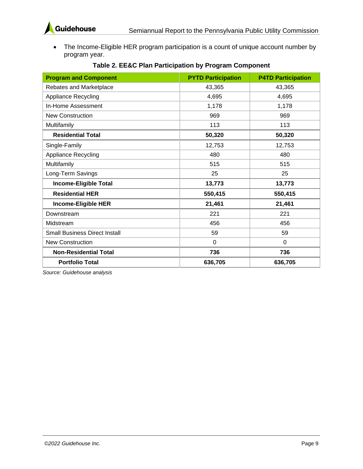

• The Income-Eligible HER program participation is a count of unique account number by program year.

<span id="page-13-0"></span>

| <b>Program and Component</b>         | <b>PYTD Participation</b> | <b>P4TD Participation</b> |
|--------------------------------------|---------------------------|---------------------------|
| Rebates and Marketplace              | 43,365                    | 43,365                    |
| <b>Appliance Recycling</b>           | 4,695                     | 4,695                     |
| In-Home Assessment                   | 1,178                     | 1,178                     |
| <b>New Construction</b>              | 969                       | 969                       |
| Multifamily                          | 113                       | 113                       |
| <b>Residential Total</b>             | 50,320                    | 50,320                    |
| Single-Family                        | 12,753                    | 12,753                    |
| <b>Appliance Recycling</b>           | 480                       | 480                       |
| Multifamily                          | 515                       | 515                       |
| Long-Term Savings                    | 25                        | 25                        |
| <b>Income-Eligible Total</b>         | 13,773                    | 13,773                    |
| <b>Residential HER</b>               | 550,415                   | 550,415                   |
| Income-Eligible HER                  | 21,461                    | 21,461                    |
| Downstream                           | 221                       | 221                       |
| Midstream                            | 456                       | 456                       |
| <b>Small Business Direct Install</b> | 59                        | 59                        |
| <b>New Construction</b>              | $\Omega$                  | $\Omega$                  |
| <b>Non-Residential Total</b>         | 736                       | 736                       |
| <b>Portfolio Total</b>               | 636,705                   | 636,705                   |

#### **Table 2. EE&C Plan Participation by Program Component**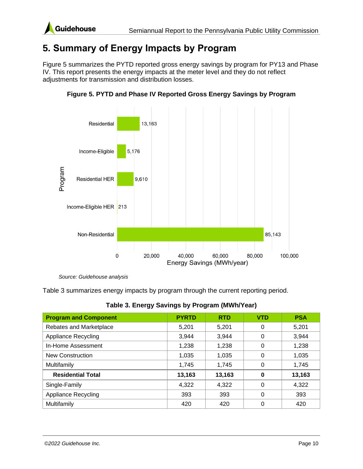

### <span id="page-14-0"></span>**5. Summary of Energy Impacts by Program**

[Figure 5](#page-14-2) summarizes the PYTD reported gross energy savings by program for PY13 and Phase IV. This report presents the energy impacts at the meter level and they do not reflect adjustments for transmission and distribution losses.

<span id="page-14-2"></span>

**Figure 5. PYTD and Phase IV Reported Gross Energy Savings by Program**

*Source: Guidehouse analysis*

[Table](#page-14-1) 3 summarizes energy impacts by program through the current reporting period.

<span id="page-14-1"></span>

| <b>Program and Component</b> | <b>PYRTD</b> | <b>RTD</b> | <b>VTD</b> | <b>PSA</b> |
|------------------------------|--------------|------------|------------|------------|
| Rebates and Marketplace      | 5,201        | 5,201      | 0          | 5,201      |
| <b>Appliance Recycling</b>   | 3,944        | 3,944      | 0          | 3,944      |
| In-Home Assessment           | 1,238        | 1,238      | 0          | 1,238      |
| <b>New Construction</b>      | 1,035        | 1,035      | 0          | 1,035      |
| Multifamily                  | 1,745        | 1,745      | 0          | 1,745      |
| <b>Residential Total</b>     | 13,163       | 13,163     | 0          | 13,163     |
| Single-Family                | 4.322        | 4.322      | 0          | 4,322      |
| <b>Appliance Recycling</b>   | 393          | 393        | 0          | 393        |
| Multifamily                  | 420          | 420        |            | 420        |

**Table 3. Energy Savings by Program (MWh/Year)**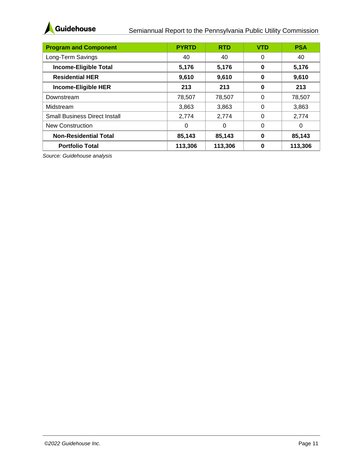

#### Semiannual Report to the Pennsylvania Public Utility Commission

| <b>Program and Component</b>         | <b>PYRTD</b> | <b>RTD</b> | <b>VTD</b> | <b>PSA</b> |
|--------------------------------------|--------------|------------|------------|------------|
| Long-Term Savings                    | 40           | 40         | 0          | 40         |
| <b>Income-Eligible Total</b>         | 5,176        | 5,176      | 0          | 5,176      |
| <b>Residential HER</b>               | 9,610        | 9,610      | O          | 9,610      |
| Income-Eligible HER                  | 213          | 213        | 0          | 213        |
| Downstream                           | 78,507       | 78,507     | 0          | 78,507     |
| Midstream                            | 3,863        | 3,863      | 0          | 3,863      |
| <b>Small Business Direct Install</b> | 2,774        | 2.774      | 0          | 2,774      |
| New Construction                     | $\Omega$     | 0          | 0          | 0          |
| <b>Non-Residential Total</b>         | 85,143       | 85,143     | 0          | 85,143     |
| <b>Portfolio Total</b>               | 113,306      | 113,306    | Ω          | 113,306    |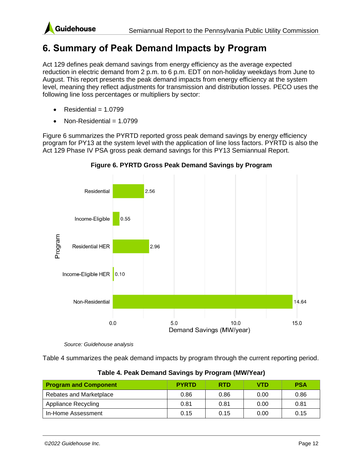

### <span id="page-16-0"></span>**6. Summary of Peak Demand Impacts by Program**

Act 129 defines peak demand savings from energy efficiency as the average expected reduction in electric demand from 2 p.m. to 6 p.m. EDT on non-holiday weekdays from June to August. This report presents the peak demand impacts from energy efficiency at the system level, meaning they reflect adjustments for transmission and distribution losses. PECO uses the following line loss percentages or multipliers by sector:

- $Residential = 1.0799$
- $Non-Residental = 1.0799$

[Figure 6](#page-16-2) summarizes the PYRTD reported gross peak demand savings by energy efficiency program for PY13 at the system level with the application of line loss factors. PYRTD is also the Act 129 Phase IV PSA gross peak demand savings for this PY13 Semiannual Report.

<span id="page-16-2"></span>



*Source: Guidehouse analysis*

[Table 4](#page-16-1) summarizes the peak demand impacts by program through the current reporting period.

<span id="page-16-1"></span>

| <b>Program and Component</b> | <b>PYRTD</b> | <b>RTD</b> | VTD  | <b>PSA</b> |
|------------------------------|--------------|------------|------|------------|
| Rebates and Marketplace      | 0.86         | 0.86       | 0.00 | 0.86       |
| Appliance Recycling          | 0.81         | 0.81       | 0.00 | 0.81       |
| In-Home Assessment           | 0.15         | 0.15       | 0.00 | 0.15       |

**Table 4. Peak Demand Savings by Program (MW/Year)**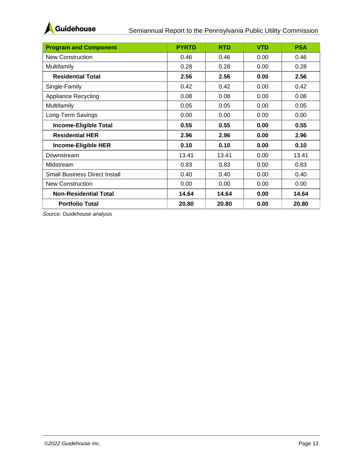

| <b>Program and Component</b>         | <b>PYRTD</b> | <b>RTD</b> | <b>VTD</b> | <b>PSA</b> |
|--------------------------------------|--------------|------------|------------|------------|
| <b>New Construction</b>              | 0.46         | 0.46       | 0.00       | 0.46       |
| Multifamily                          | 0.28         | 0.28       | 0.00       | 0.28       |
| <b>Residential Total</b>             | 2.56         | 2.56       | 0.00       | 2.56       |
| Single-Family                        | 0.42         | 0.42       | 0.00       | 0.42       |
| Appliance Recycling                  | 0.08         | 0.08       | 0.00       | 0.08       |
| Multifamily                          | 0.05         | 0.05       | 0.00       | 0.05       |
| Long-Term Savings                    | 0.00         | 0.00       | 0.00       | 0.00       |
| <b>Income-Eligible Total</b>         | 0.55         | 0.55       | 0.00       | 0.55       |
| <b>Residential HER</b>               | 2.96         | 2.96       | 0.00       | 2.96       |
| <b>Income-Eligible HER</b>           | 0.10         | 0.10       | 0.00       | 0.10       |
| Downstream                           | 13.41        | 13.41      | 0.00       | 13.41      |
| Midstream                            | 0.83         | 0.83       | 0.00       | 0.83       |
| <b>Small Business Direct Install</b> | 0.40         | 0.40       | 0.00       | 0.40       |
| <b>New Construction</b>              | 0.00         | 0.00       | 0.00       | 0.00       |
| <b>Non-Residential Total</b>         | 14.64        | 14.64      | 0.00       | 14.64      |
| <b>Portfolio Total</b>               | 20.80        | 20.80      | 0.00       | 20.80      |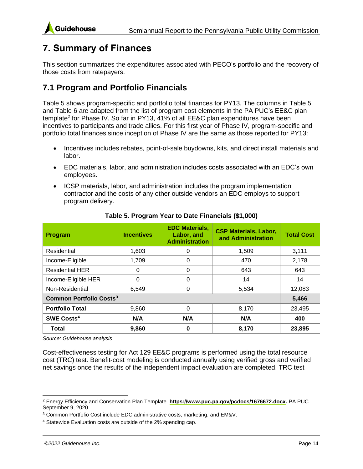# <span id="page-18-0"></span>**7. Summary of Finances**

This section summarizes the expenditures associated with PECO's portfolio and the recovery of those costs from ratepayers.

### <span id="page-18-1"></span>**7.1 Program and Portfolio Financials**

[Table 5](#page-18-2) shows program-specific and portfolio total finances for PY13. The columns in [Table 5](#page-18-2) and [Table 6](#page-19-1) are adapted from the list of program cost elements in the PA PUC's EE&C plan template<sup>2</sup> for Phase IV. So far in PY13, 41% of all EE&C plan expenditures have been incentives to participants and trade allies. For this first year of Phase IV, program-specific and portfolio total finances since inception of Phase IV are the same as those reported for PY13:

- Incentives includes rebates, point-of-sale buydowns, kits, and direct install materials and labor.
- EDC materials, labor, and administration includes costs associated with an EDC's own employees.
- ICSP materials, labor, and administration includes the program implementation contractor and the costs of any other outside vendors an EDC employs to support program delivery.

<span id="page-18-2"></span>

| <b>Program</b>                            | <b>Incentives</b> | <b>EDC Materials,</b><br>Labor, and<br><b>Administration</b> | <b>CSP Materials, Labor,</b><br>and Administration | <b>Total Cost</b> |
|-------------------------------------------|-------------------|--------------------------------------------------------------|----------------------------------------------------|-------------------|
| Residential                               | 1,603             | 0                                                            | 1,509                                              | 3,111             |
| Income-Eligible                           | 1,709             | 0                                                            | 470                                                | 2,178             |
| <b>Residential HER</b>                    | 0                 | 0                                                            | 643                                                | 643               |
| Income-Eligible HER                       | $\Omega$          | 0                                                            | 14                                                 | 14                |
| Non-Residential                           | 6,549             | 0                                                            | 5,534                                              | 12,083            |
| <b>Common Portfolio Costs<sup>3</sup></b> |                   |                                                              |                                                    | 5,466             |
| <b>Portfolio Total</b>                    | 9,860             | 0                                                            | 8,170                                              | 23,495            |
| SWE Costs <sup>4</sup>                    | N/A               | N/A                                                          | N/A                                                | 400               |
| Total                                     | 9,860             | 0                                                            | 8,170                                              | 23,895            |

#### **Table 5. Program Year to Date Financials (\$1,000)**

*Source: Guidehouse analysis*

Cost-effectiveness testing for Act 129 EE&C programs is performed using the total resource cost (TRC) test. Benefit-cost modeling is conducted annually using verified gross and verified net savings once the results of the independent impact evaluation are completed. TRC test

<sup>2</sup> Energy Efficiency and Conservation Plan Template. **[https://www.puc.pa.gov/pcdocs/1676672.docx.](https://www.puc.pa.gov/pcdocs/1676672.docx)** PA PUC. September 9, 2020.

<sup>3</sup> Common Portfolio Cost include EDC administrative costs, marketing, and EM&V.

<sup>4</sup> Statewide Evaluation costs are outside of the 2% spending cap.